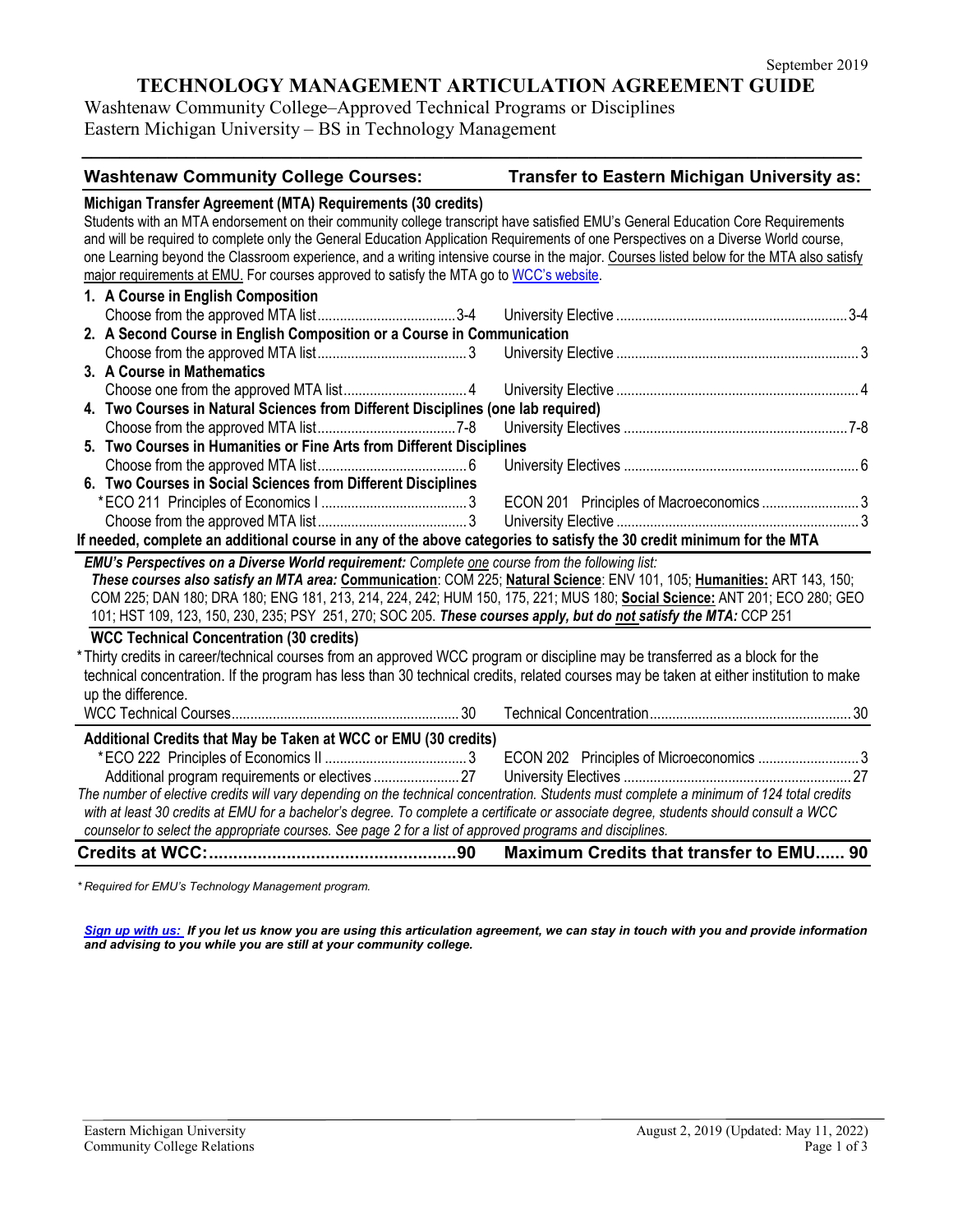## **TECHNOLOGY MANAGEMENT ARTICULATION AGREEMENT GUIDE**

**\_\_\_\_\_\_\_\_\_\_\_\_\_\_\_\_\_\_\_\_\_\_\_\_\_\_\_\_\_\_\_\_\_\_\_\_\_\_\_\_\_\_\_\_\_\_\_\_\_\_\_\_\_\_\_\_\_\_\_\_\_\_\_\_\_\_\_\_\_\_\_\_\_\_\_\_\_\_\_\_\_\_**

Washtenaw Community College–Approved Technical Programs or Disciplines Eastern Michigan University – BS in Technology Management

| <b>Washtenaw Community College Courses:</b>                                                                                              | <b>Transfer to Eastern Michigan University as:</b> |  |
|------------------------------------------------------------------------------------------------------------------------------------------|----------------------------------------------------|--|
| Michigan Transfer Agreement (MTA) Requirements (30 credits)                                                                              |                                                    |  |
| Students with an MTA endorsement on their community college transcript have satisfied EMU's General Education Core Requirements          |                                                    |  |
| and will be required to complete only the General Education Application Requirements of one Perspectives on a Diverse World course,      |                                                    |  |
| one Learning beyond the Classroom experience, and a writing intensive course in the major. Courses listed below for the MTA also satisfy |                                                    |  |
| major requirements at EMU. For courses approved to satisfy the MTA go to WCC's website.                                                  |                                                    |  |
| 1. A Course in English Composition                                                                                                       |                                                    |  |
|                                                                                                                                          |                                                    |  |
| 2. A Second Course in English Composition or a Course in Communication                                                                   |                                                    |  |
|                                                                                                                                          |                                                    |  |
| 3. A Course in Mathematics                                                                                                               |                                                    |  |
|                                                                                                                                          |                                                    |  |
| 4. Two Courses in Natural Sciences from Different Disciplines (one lab required)                                                         |                                                    |  |
|                                                                                                                                          |                                                    |  |
| 5. Two Courses in Humanities or Fine Arts from Different Disciplines                                                                     |                                                    |  |
|                                                                                                                                          |                                                    |  |
| 6. Two Courses in Social Sciences from Different Disciplines                                                                             |                                                    |  |
|                                                                                                                                          |                                                    |  |
|                                                                                                                                          |                                                    |  |
| If needed, complete an additional course in any of the above categories to satisfy the 30 credit minimum for the MTA                     |                                                    |  |
| EMU's Perspectives on a Diverse World requirement: Complete one course from the following list:                                          |                                                    |  |
| These courses also satisfy an MTA area: Communication: COM 225; Natural Science: ENV 101, 105; Humanities: ART 143, 150;                 |                                                    |  |
| COM 225; DAN 180; DRA 180; ENG 181, 213, 214, 224, 242; HUM 150, 175, 221; MUS 180; Social Science: ANT 201; ECO 280; GEO                |                                                    |  |
| 101; HST 109, 123, 150, 230, 235; PSY 251, 270; SOC 205. These courses apply, but do not satisfy the MTA: CCP 251                        |                                                    |  |
| <b>WCC Technical Concentration (30 credits)</b>                                                                                          |                                                    |  |
| *Thirty credits in career/technical courses from an approved WCC program or discipline may be transferred as a block for the             |                                                    |  |
| technical concentration. If the program has less than 30 technical credits, related courses may be taken at either institution to make   |                                                    |  |
| up the difference.                                                                                                                       |                                                    |  |
|                                                                                                                                          |                                                    |  |
| Additional Credits that May be Taken at WCC or EMU (30 credits)                                                                          |                                                    |  |
|                                                                                                                                          | ECON 202 Principles of Microeconomics 3            |  |
|                                                                                                                                          |                                                    |  |
| The number of elective credits will vary depending on the technical concentration. Students must complete a minimum of 124 total credits |                                                    |  |
| with at least 30 credits at EMU for a bachelor's degree. To complete a certificate or associate degree, students should consult a WCC    |                                                    |  |
| counselor to select the appropriate courses. See page 2 for a list of approved programs and disciplines.                                 |                                                    |  |
|                                                                                                                                          | Maximum Credits that transfer to EMU 90            |  |
|                                                                                                                                          |                                                    |  |

*\* Required for EMU's Technology Management program.* 

*[Sign up with us:](https://www.emich.edu/ccr/articulation-agreements/signup.php) If you let us know you are using this articulation agreement, we can stay in touch with you and provide information and advising to you while you are still at your community college.*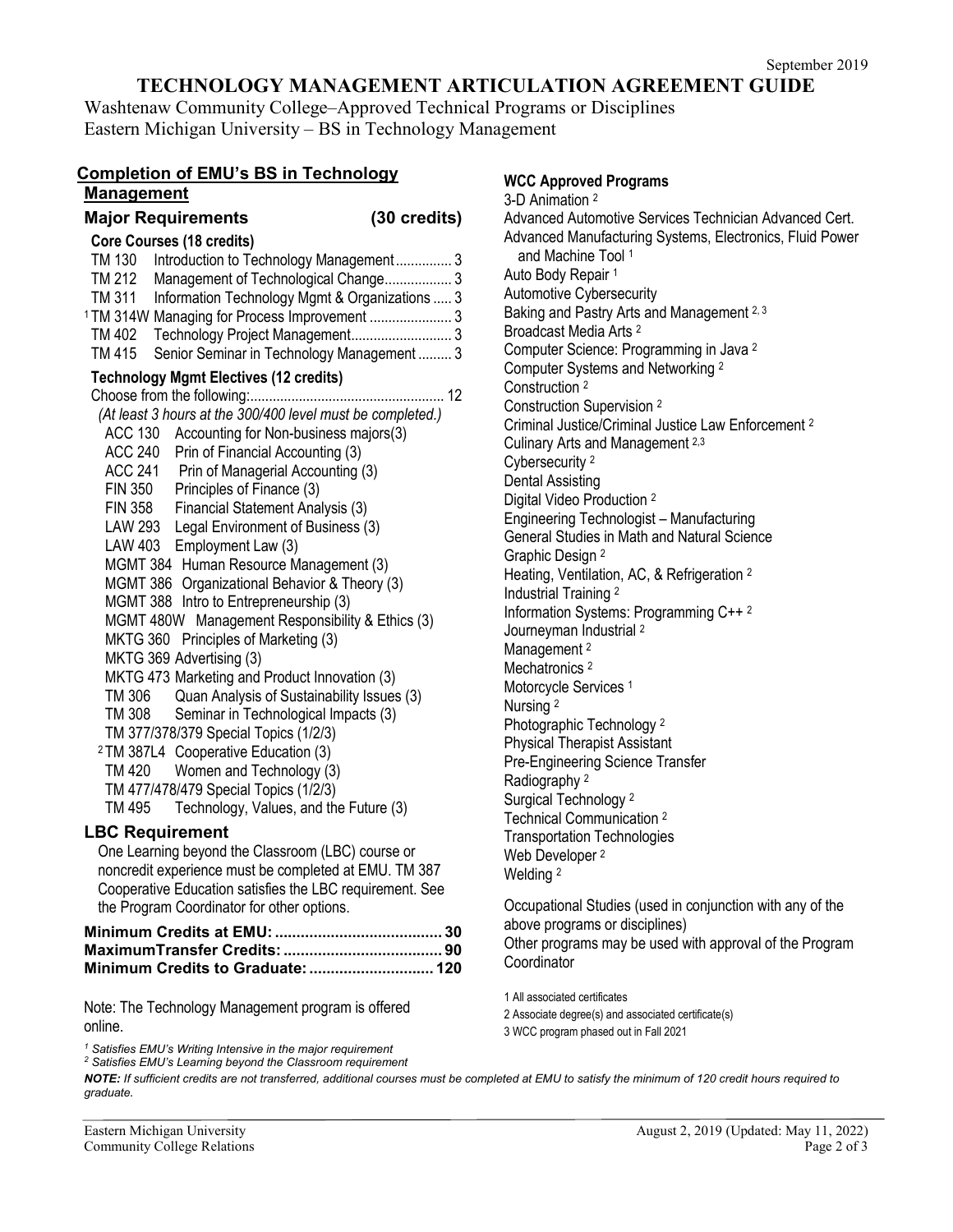## **TECHNOLOGY MANAGEMENT ARTICULATION AGREEMENT GUIDE**

Washtenaw Community College–Approved Technical Programs or Disciplines Eastern Michigan University – BS in Technology Management

## **Completion of EMU's BS in Technology Management**

| <b>Major Requirements</b>                                                                                                                                                                                                                                                                                                                                                                                                                                                                                                                                                                                                                                                                                                                                                                                                                                                                                                                                                                                                                                                                                                  | $(30 \text{ credits})$ |
|----------------------------------------------------------------------------------------------------------------------------------------------------------------------------------------------------------------------------------------------------------------------------------------------------------------------------------------------------------------------------------------------------------------------------------------------------------------------------------------------------------------------------------------------------------------------------------------------------------------------------------------------------------------------------------------------------------------------------------------------------------------------------------------------------------------------------------------------------------------------------------------------------------------------------------------------------------------------------------------------------------------------------------------------------------------------------------------------------------------------------|------------------------|
| <b>Core Courses (18 credits)</b><br>Introduction to Technology Management 3<br>TM 130<br>Management of Technological Change 3<br>TM 212<br>TM 311<br>Information Technology Mgmt & Organizations  3<br><sup>1</sup> TM 314W Managing for Process Improvement  3<br>Technology Project Management 3<br>TM 402<br><b>TM 415</b><br>Senior Seminar in Technology Management 3                                                                                                                                                                                                                                                                                                                                                                                                                                                                                                                                                                                                                                                                                                                                                 |                        |
| <b>Technology Mgmt Electives (12 credits)</b><br>(At least 3 hours at the 300/400 level must be completed.)<br>Accounting for Non-business majors(3)<br><b>ACC 130</b><br><b>ACC 240</b><br>Prin of Financial Accounting (3)<br>ACC 241 Prin of Managerial Accounting (3)<br>Principles of Finance (3)<br><b>FIN 350</b><br><b>FIN 358</b><br>Financial Statement Analysis (3)<br><b>LAW 293</b><br>Legal Environment of Business (3)<br>LAW 403<br>Employment Law (3)<br>MGMT 384 Human Resource Management (3)<br>MGMT 386 Organizational Behavior & Theory (3)<br>MGMT 388 Intro to Entrepreneurship (3)<br>MGMT 480W Management Responsibility & Ethics (3)<br>MKTG 360 Principles of Marketing (3)<br>MKTG 369 Advertising (3)<br>MKTG 473 Marketing and Product Innovation (3)<br>Quan Analysis of Sustainability Issues (3)<br>TM 306<br>TM 308<br>Seminar in Technological Impacts (3)<br>TM 377/378/379 Special Topics (1/2/3)<br><sup>2</sup> TM 387L4 Cooperative Education (3)<br>TM 420 Women and Technology (3)<br>TM 477/478/479 Special Topics (1/2/3)<br>Technology, Values, and the Future (3)<br>TM 495 |                        |
| <b>LBC Requirement</b><br>One Learning beyond the Classroom (LBC) course or                                                                                                                                                                                                                                                                                                                                                                                                                                                                                                                                                                                                                                                                                                                                                                                                                                                                                                                                                                                                                                                |                        |
| noncredit experience must be completed at EMU. TM 387<br>Cooperative Education satisfies the LBC requirement. See<br>the Program Coordinator for other options.                                                                                                                                                                                                                                                                                                                                                                                                                                                                                                                                                                                                                                                                                                                                                                                                                                                                                                                                                            |                        |
|                                                                                                                                                                                                                                                                                                                                                                                                                                                                                                                                                                                                                                                                                                                                                                                                                                                                                                                                                                                                                                                                                                                            |                        |

### **Minimum Credits at EMU:....................................... 30 MaximumTransfer Credits:..................................... 90 Minimum Credits to Graduate:............................. 120**

Note: The Technology Management program is offered online.

*<sup>1</sup> Satisfies EMU's Writing Intensive in the major requirement*

*<sup>2</sup> Satisfies EMU's Learning beyond the Classroom requirement*

**WCC Approved Programs** 3-D Animation 2 Advanced Automotive Services Technician Advanced Cert. Advanced Manufacturing Systems, Electronics, Fluid Power and Machine Tool <sup>1</sup> Auto Body Repair 1 Automotive Cybersecurity Baking and Pastry Arts and Management 2, 3 Broadcast Media Arts <sup>2</sup> Computer Science: Programming in Java <sup>2</sup> Computer Systems and Networking <sup>2</sup> Construction <sup>2</sup> Construction Supervision <sup>2</sup> Criminal Justice/Criminal Justice Law Enforcement 2 Culinary Arts and Management 2,3 Cybersecurity <sup>2</sup> Dental Assisting Digital Video Production <sup>2</sup> Engineering Technologist – Manufacturing General Studies in Math and Natural Science Graphic Design <sup>2</sup> Heating, Ventilation, AC, & Refrigeration <sup>2</sup> Industrial Training <sup>2</sup> Information Systems: Programming C++ <sup>2</sup> Journeyman Industrial <sup>2</sup> Management<sup>2</sup> Mechatronics<sup>2</sup>

Motorcycle Services<sup>1</sup>

Nursing <sup>2</sup> Photographic Technology <sup>2</sup>

Physical Therapist Assistant

Pre-Engineering Science Transfer

Radiography <sup>2</sup>

Surgical Technology <sup>2</sup> Technical Communication 2

Transportation Technologies Web Developer<sup>2</sup>

Welding <sup>2</sup>

Occupational Studies (used in conjunction with any of the above programs or disciplines) Other programs may be used with approval of the Program **Coordinator** 

1 All associated certificates

2 Associate degree(s) and associated certificate(s)

3 WCC program phased out in Fall 2021

*NOTE: If sufficient credits are not transferred, additional courses must be completed at EMU to satisfy the minimum of 120 credit hours required to graduate.*